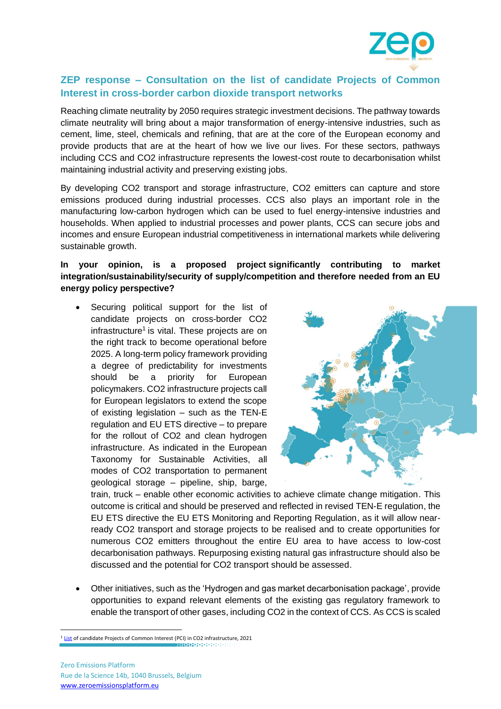

## **ZEP response – Consultation on the list of candidate Projects of Common Interest in cross-border carbon dioxide transport networks**

Reaching climate neutrality by 2050 requires strategic investment decisions. The pathway towards climate neutrality will bring about a major transformation of energy-intensive industries, such as cement, lime, steel, chemicals and refining, that are at the core of the European economy and provide products that are at the heart of how we live our lives. For these sectors, pathways including CCS and CO2 infrastructure represents the lowest-cost route to decarbonisation whilst maintaining industrial activity and preserving existing jobs.

By developing CO2 transport and storage infrastructure, CO2 emitters can capture and store emissions produced during industrial processes. CCS also plays an important role in the manufacturing low-carbon hydrogen which can be used to fuel energy-intensive industries and households. When applied to industrial processes and power plants, CCS can secure jobs and incomes and ensure European industrial competitiveness in international markets while delivering sustainable growth.

## **In your opinion, is a proposed project significantly contributing to market integration/sustainability/security of supply/competition and therefore needed from an EU energy policy perspective?**

• Securing political support for the list of candidate projects on cross-border CO2 infrastructure<sup>1</sup> is vital. These projects are on the right track to become operational before 2025. A long-term policy framework providing a degree of predictability for investments should be a priority for European policymakers. CO2 infrastructure projects call for European legislators to extend the scope of existing legislation – such as the TEN-E regulation and EU ETS directive – to prepare for the rollout of CO2 and clean hydrogen infrastructure. As indicated in the European Taxonomy for Sustainable Activities, all modes of CO2 transportation to permanent geological storage – pipeline, ship, barge,



train, truck – enable other economic activities to achieve climate change mitigation. This outcome is critical and should be preserved and reflected in revised TEN-E regulation, the EU ETS directive the EU ETS Monitoring and Reporting Regulation, as it will allow nearready CO2 transport and storage projects to be realised and to create opportunities for numerous CO2 emitters throughout the entire EU area to have access to low-cost decarbonisation pathways. Repurposing existing natural gas infrastructure should also be discussed and the potential for CO2 transport should be assessed.

• Other initiatives, such as the 'Hydrogen and gas market decarbonisation package', provide opportunities to expand relevant elements of the existing gas regulatory framework to enable the transport of other gases, including CO2 in the context of CCS. As CCS is scaled

 $\frac{1 \text{ List}}{\text{List}}$  $\frac{1 \text{ List}}{\text{List}}$  $\frac{1 \text{ List}}{\text{List}}$  of candidate Projects of Common Interest (PCI) in CO2 infrastructure, 2021